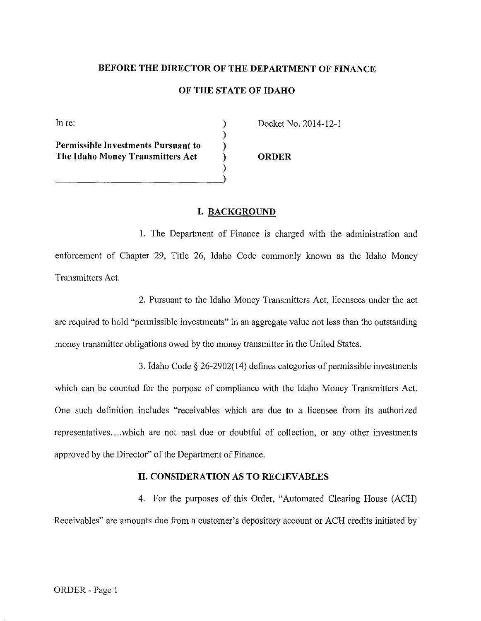## **BEFORE THE DIRECTOR OF THE DEPARTMENT OF FINANCE**

## **OF THE STATE OF IDAHO**

) ) ) ) )

In re:

**Permissible Investments Pursuant to The Idaho Money Transmitters Act** 

~~~~~~~~~~~~~.)

Docket No. 2014-12-1

**ORDER** 

## **I. BACKGROUND**

1. The Department of Finance is charged with the administration and enforcement of Chapter 29, Title 26, Idaho Code commonly known as the Idaho Money Transmitters Act.

2. Pursuant to the Idaho Money Transmitters Act, licensees under the act are required to hold "permissible investments" in an aggregate value not less than the outstanding money transmitter obligations owed by the money transmitter in the United States.

3. Idaho Code§ 26-2902(14) defines categories of permissible investments which can be counted for the purpose of compliance with the Idaho Money Transmitters Act. One such definition includes "receivables which are due to a licensee from its authorized representatives .... which are not past due or doubtful of collection, or any other investments approved by the Director" of the Department of Finance.

# **II. CONSIDERATION AS TO RECIEVABLES**

4. For the purposes of this Order, "Automated Clearing House (ACH) Receivables" are amounts due from a customer's depository account or ACH credits initiated by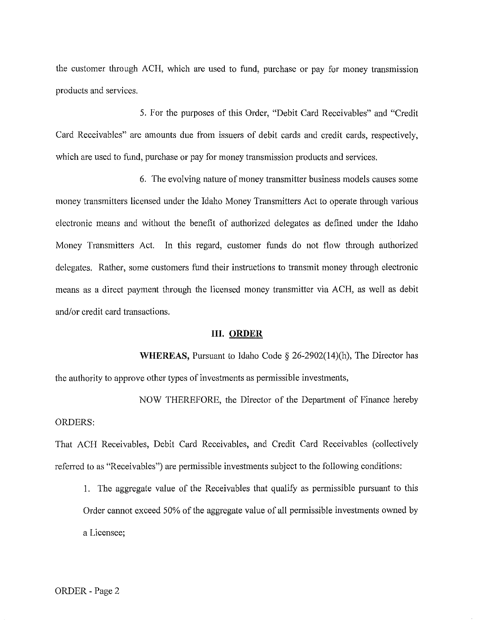the customer through ACH, which are used to fund, purchase or pay for money transmission products and services.

5. For the purposes of this Order, "Debit Card Receivables" and "Credit Card Receivables" are amounts due from issuers of debit cards and credit cards, respectively, which are used to fund, purchase or pay for money transmission products and services.

6. The evolving nature of money transmitter business models causes some money transmitters licensed under the Idaho Money Transmitters Act to operate through various electronic means and without the benefit of authorized delegates as defined under the Idaho Money Transmitters Act. In this regard, customer funds do not flow through authorized delegates. Rather, some customers fund their instructions to transmit money through electronic means as a direct payment through the licensed money transmitter via ACH, as well as debit and/or credit card transactions.

# **III. ORDER**

**WHEREAS,** Pursuant to Idaho Code § 26-2902(14)(h), The Director has the authority to approve other types of investments as permissible investments,

NOW THEREFORE, the Director of the Department of Finance hereby ORDERS:

That ACH Receivables, Debit Card Receivables, and Credit Card Receivables (collectively referred to as "Receivables") are permissible investments subject to the following conditions:

1. The aggregate value of the Receivables that qualify as permissible pursuant to this Order cannot exceed 50% of the aggregate value of all permissible investments owned by a Licensee;